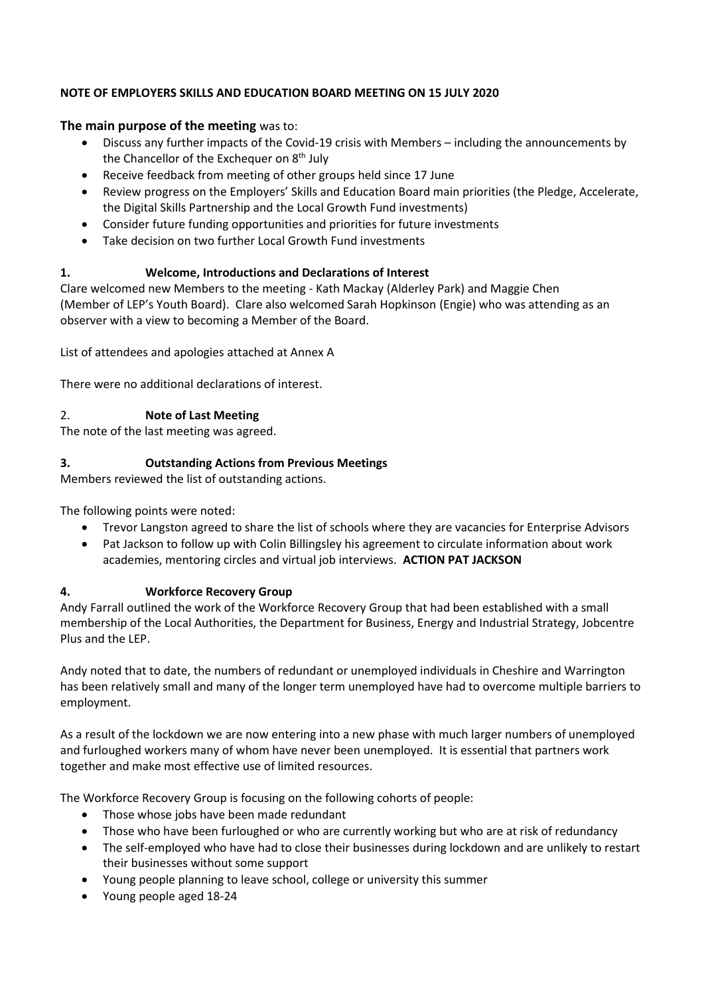## **NOTE OF EMPLOYERS SKILLS AND EDUCATION BOARD MEETING ON 15 JULY 2020**

## **The main purpose of the meeting** was to:

- Discuss any further impacts of the Covid-19 crisis with Members including the announcements by the Chancellor of the Exchequer on 8<sup>th</sup> July
- Receive feedback from meeting of other groups held since 17 June
- Review progress on the Employers' Skills and Education Board main priorities (the Pledge, Accelerate, the Digital Skills Partnership and the Local Growth Fund investments)
- Consider future funding opportunities and priorities for future investments
- Take decision on two further Local Growth Fund investments

# **1. Welcome, Introductions and Declarations of Interest**

Clare welcomed new Members to the meeting - Kath Mackay (Alderley Park) and Maggie Chen (Member of LEP's Youth Board). Clare also welcomed Sarah Hopkinson (Engie) who was attending as an observer with a view to becoming a Member of the Board.

List of attendees and apologies attached at Annex A

There were no additional declarations of interest.

# 2. **Note of Last Meeting**

The note of the last meeting was agreed.

## **3. Outstanding Actions from Previous Meetings**

Members reviewed the list of outstanding actions.

The following points were noted:

- Trevor Langston agreed to share the list of schools where they are vacancies for Enterprise Advisors
- Pat Jackson to follow up with Colin Billingsley his agreement to circulate information about work academies, mentoring circles and virtual job interviews. **ACTION PAT JACKSON**

# **4. Workforce Recovery Group**

Andy Farrall outlined the work of the Workforce Recovery Group that had been established with a small membership of the Local Authorities, the Department for Business, Energy and Industrial Strategy, Jobcentre Plus and the LEP.

Andy noted that to date, the numbers of redundant or unemployed individuals in Cheshire and Warrington has been relatively small and many of the longer term unemployed have had to overcome multiple barriers to employment.

As a result of the lockdown we are now entering into a new phase with much larger numbers of unemployed and furloughed workers many of whom have never been unemployed. It is essential that partners work together and make most effective use of limited resources.

The Workforce Recovery Group is focusing on the following cohorts of people:

- Those whose jobs have been made redundant
- Those who have been furloughed or who are currently working but who are at risk of redundancy
- The self-employed who have had to close their businesses during lockdown and are unlikely to restart their businesses without some support
- Young people planning to leave school, college or university this summer
- Young people aged 18-24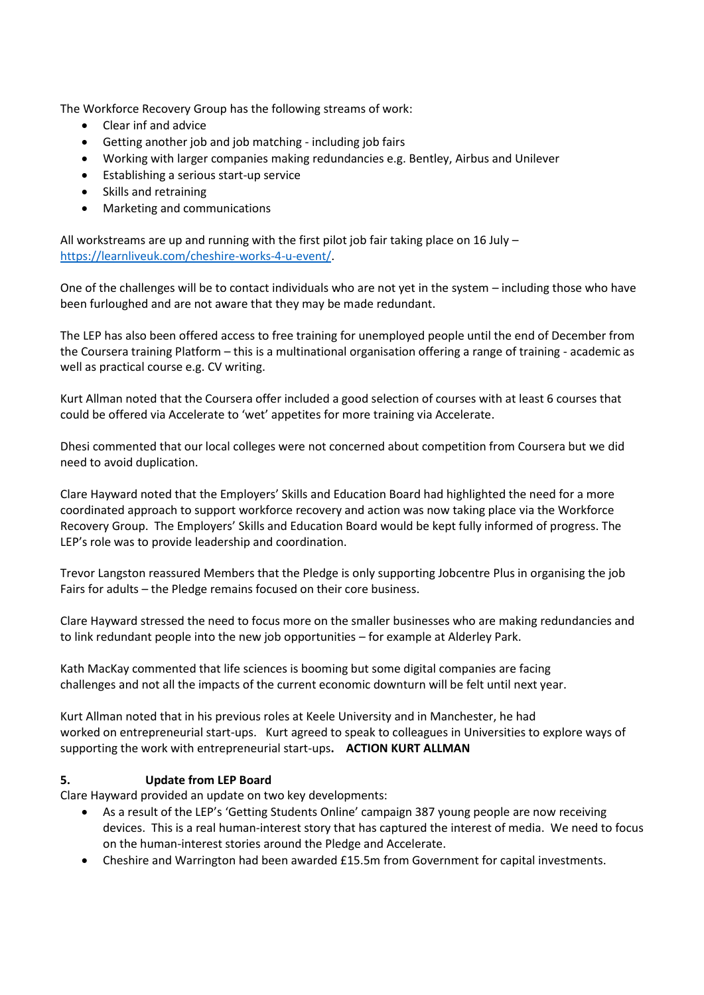The Workforce Recovery Group has the following streams of work:

- Clear inf and advice
- Getting another job and job matching including job fairs
- Working with larger companies making redundancies e.g. Bentley, Airbus and Unilever
- Establishing a serious start-up service
- Skills and retraining
- Marketing and communications

All workstreams are up and running with the first pilot job fair taking place on 16 July  $$ [https://learnliveuk.com/cheshire-works-4-u-event/.](https://learnliveuk.com/cheshire-works-4-u-event/)

One of the challenges will be to contact individuals who are not yet in the system – including those who have been furloughed and are not aware that they may be made redundant.

The LEP has also been offered access to free training for unemployed people until the end of December from the Coursera training Platform – this is a multinational organisation offering a range of training - academic as well as practical course e.g. CV writing.

Kurt Allman noted that the Coursera offer included a good selection of courses with at least 6 courses that could be offered via Accelerate to 'wet' appetites for more training via Accelerate.

Dhesi commented that our local colleges were not concerned about competition from Coursera but we did need to avoid duplication.

Clare Hayward noted that the Employers' Skills and Education Board had highlighted the need for a more coordinated approach to support workforce recovery and action was now taking place via the Workforce Recovery Group. The Employers' Skills and Education Board would be kept fully informed of progress. The LEP's role was to provide leadership and coordination.

Trevor Langston reassured Members that the Pledge is only supporting Jobcentre Plus in organising the job Fairs for adults – the Pledge remains focused on their core business.

Clare Hayward stressed the need to focus more on the smaller businesses who are making redundancies and to link redundant people into the new job opportunities – for example at Alderley Park.

Kath MacKay commented that life sciences is booming but some digital companies are facing challenges and not all the impacts of the current economic downturn will be felt until next year.

Kurt Allman noted that in his previous roles at Keele University and in Manchester, he had worked on entrepreneurial start-ups. Kurt agreed to speak to colleagues in Universities to explore ways of supporting the work with entrepreneurial start-ups**. ACTION KURT ALLMAN**

### **5. Update from LEP Board**

Clare Hayward provided an update on two key developments:

- As a result of the LEP's 'Getting Students Online' campaign 387 young people are now receiving devices. This is a real human-interest story that has captured the interest of media. We need to focus on the human-interest stories around the Pledge and Accelerate.
- Cheshire and Warrington had been awarded £15.5m from Government for capital investments.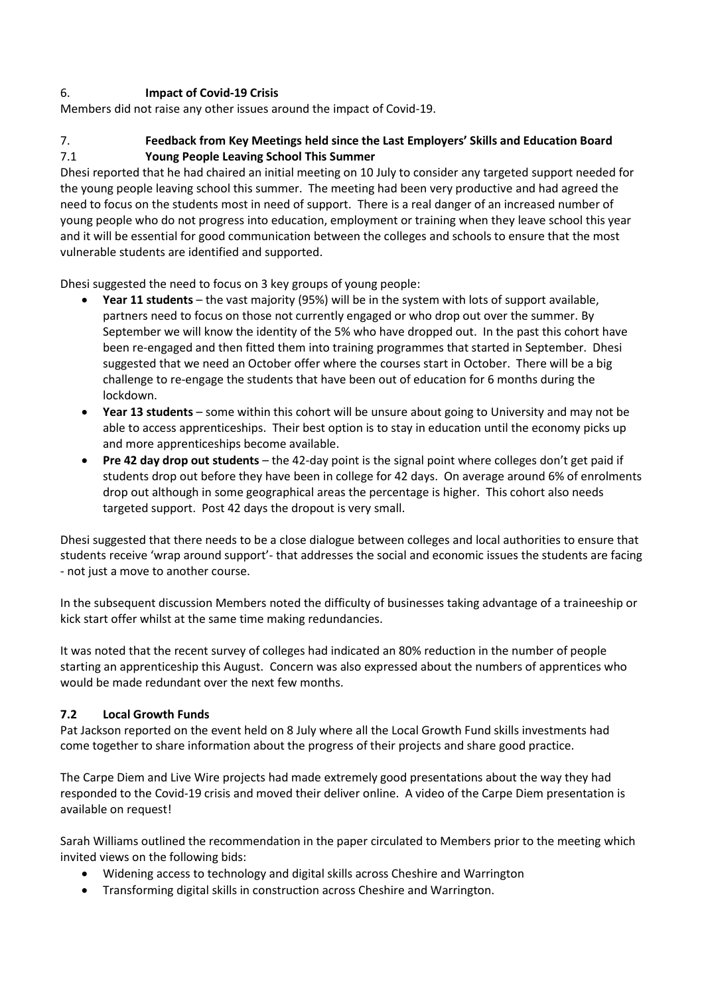## 6. **Impact of Covid-19 Crisis**

Members did not raise any other issues around the impact of Covid-19.

## 7. **Feedback from Key Meetings held since the Last Employers' Skills and Education Board**  7.1 **Young People Leaving School This Summer**

Dhesi reported that he had chaired an initial meeting on 10 July to consider any targeted support needed for the young people leaving school this summer. The meeting had been very productive and had agreed the need to focus on the students most in need of support. There is a real danger of an increased number of young people who do not progress into education, employment or training when they leave school this year and it will be essential for good communication between the colleges and schools to ensure that the most vulnerable students are identified and supported.

Dhesi suggested the need to focus on 3 key groups of young people:

- **Year 11 students** the vast majority (95%) will be in the system with lots of support available, partners need to focus on those not currently engaged or who drop out over the summer. By September we will know the identity of the 5% who have dropped out. In the past this cohort have been re-engaged and then fitted them into training programmes that started in September. Dhesi suggested that we need an October offer where the courses start in October. There will be a big challenge to re-engage the students that have been out of education for 6 months during the lockdown.
- **Year 13 students** some within this cohort will be unsure about going to University and may not be able to access apprenticeships. Their best option is to stay in education until the economy picks up and more apprenticeships become available.
- **Pre 42 day drop out students** the 42-day point is the signal point where colleges don't get paid if students drop out before they have been in college for 42 days. On average around 6% of enrolments drop out although in some geographical areas the percentage is higher. This cohort also needs targeted support. Post 42 days the dropout is very small.

Dhesi suggested that there needs to be a close dialogue between colleges and local authorities to ensure that students receive 'wrap around support'- that addresses the social and economic issues the students are facing - not just a move to another course.

In the subsequent discussion Members noted the difficulty of businesses taking advantage of a traineeship or kick start offer whilst at the same time making redundancies.

It was noted that the recent survey of colleges had indicated an 80% reduction in the number of people starting an apprenticeship this August. Concern was also expressed about the numbers of apprentices who would be made redundant over the next few months.

### **7.2 Local Growth Funds**

Pat Jackson reported on the event held on 8 July where all the Local Growth Fund skills investments had come together to share information about the progress of their projects and share good practice.

The Carpe Diem and Live Wire projects had made extremely good presentations about the way they had responded to the Covid-19 crisis and moved their deliver online. A video of the Carpe Diem presentation is available on request!

Sarah Williams outlined the recommendation in the paper circulated to Members prior to the meeting which invited views on the following bids:

- Widening access to technology and digital skills across Cheshire and Warrington
- Transforming digital skills in construction across Cheshire and Warrington.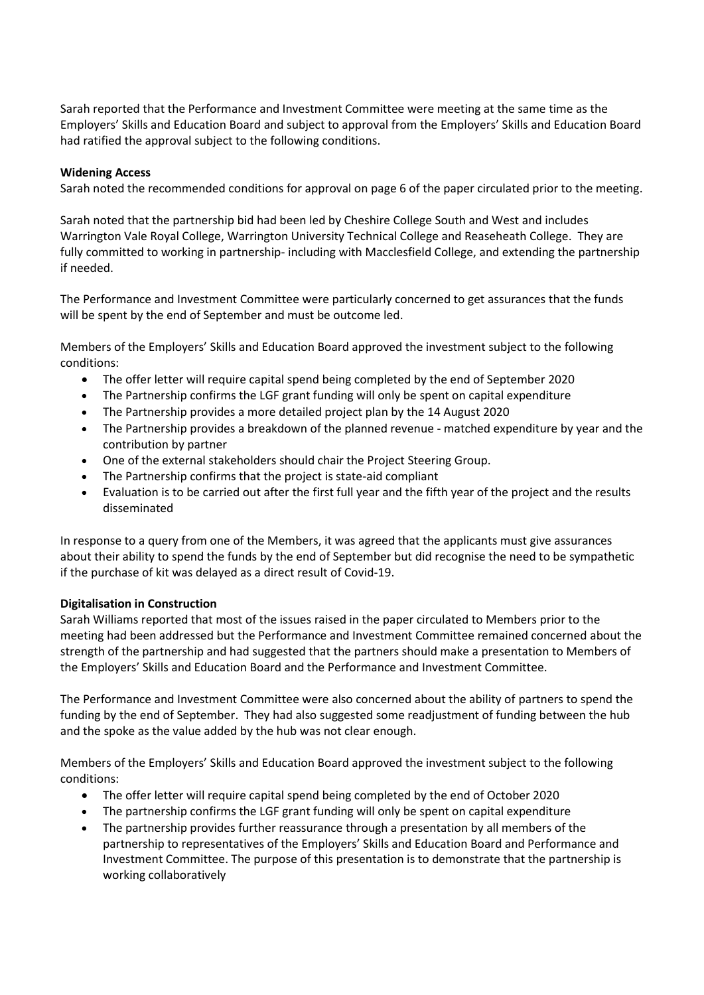Sarah reported that the Performance and Investment Committee were meeting at the same time as the Employers' Skills and Education Board and subject to approval from the Employers' Skills and Education Board had ratified the approval subject to the following conditions.

#### **Widening Access**

Sarah noted the recommended conditions for approval on page 6 of the paper circulated prior to the meeting.

Sarah noted that the partnership bid had been led by Cheshire College South and West and includes Warrington Vale Royal College, Warrington University Technical College and Reaseheath College. They are fully committed to working in partnership- including with Macclesfield College, and extending the partnership if needed.

The Performance and Investment Committee were particularly concerned to get assurances that the funds will be spent by the end of September and must be outcome led.

Members of the Employers' Skills and Education Board approved the investment subject to the following conditions:

- The offer letter will require capital spend being completed by the end of September 2020
- The Partnership confirms the LGF grant funding will only be spent on capital expenditure
- The Partnership provides a more detailed project plan by the 14 August 2020
- The Partnership provides a breakdown of the planned revenue matched expenditure by year and the contribution by partner
- One of the external stakeholders should chair the Project Steering Group.
- The Partnership confirms that the project is state-aid compliant
- Evaluation is to be carried out after the first full year and the fifth year of the project and the results disseminated

In response to a query from one of the Members, it was agreed that the applicants must give assurances about their ability to spend the funds by the end of September but did recognise the need to be sympathetic if the purchase of kit was delayed as a direct result of Covid-19.

#### **Digitalisation in Construction**

Sarah Williams reported that most of the issues raised in the paper circulated to Members prior to the meeting had been addressed but the Performance and Investment Committee remained concerned about the strength of the partnership and had suggested that the partners should make a presentation to Members of the Employers' Skills and Education Board and the Performance and Investment Committee.

The Performance and Investment Committee were also concerned about the ability of partners to spend the funding by the end of September. They had also suggested some readjustment of funding between the hub and the spoke as the value added by the hub was not clear enough.

Members of the Employers' Skills and Education Board approved the investment subject to the following conditions:

- The offer letter will require capital spend being completed by the end of October 2020
- The partnership confirms the LGF grant funding will only be spent on capital expenditure
- The partnership provides further reassurance through a presentation by all members of the partnership to representatives of the Employers' Skills and Education Board and Performance and Investment Committee. The purpose of this presentation is to demonstrate that the partnership is working collaboratively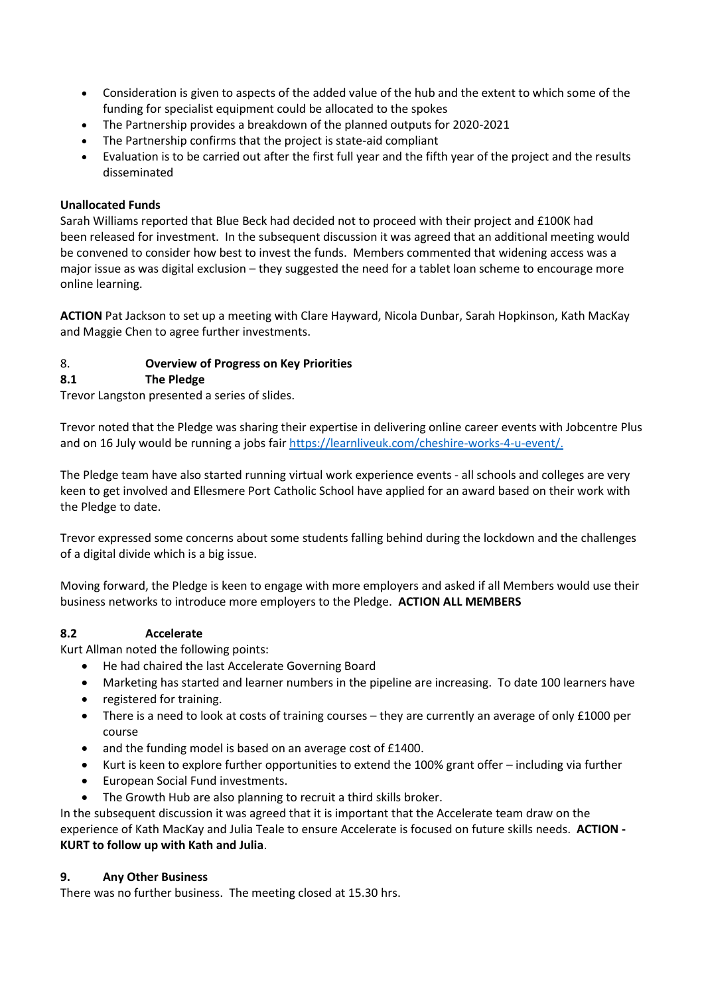- Consideration is given to aspects of the added value of the hub and the extent to which some of the funding for specialist equipment could be allocated to the spokes
- The Partnership provides a breakdown of the planned outputs for 2020-2021
- The Partnership confirms that the project is state-aid compliant
- Evaluation is to be carried out after the first full year and the fifth year of the project and the results disseminated

### **Unallocated Funds**

Sarah Williams reported that Blue Beck had decided not to proceed with their project and £100K had been released for investment. In the subsequent discussion it was agreed that an additional meeting would be convened to consider how best to invest the funds. Members commented that widening access was a major issue as was digital exclusion – they suggested the need for a tablet loan scheme to encourage more online learning.

**ACTION** Pat Jackson to set up a meeting with Clare Hayward, Nicola Dunbar, Sarah Hopkinson, Kath MacKay and Maggie Chen to agree further investments.

### 8. **Overview of Progress on Key Priorities**

### **8.1 The Pledge**

Trevor Langston presented a series of slides.

Trevor noted that the Pledge was sharing their expertise in delivering online career events with Jobcentre Plus and on 16 July would be running a jobs fai[r https://learnliveuk.com/cheshire-works-4-u-event/.](https://learnliveuk.com/cheshire-works-4-u-event/)

The Pledge team have also started running virtual work experience events - all schools and colleges are very keen to get involved and Ellesmere Port Catholic School have applied for an award based on their work with the Pledge to date.

Trevor expressed some concerns about some students falling behind during the lockdown and the challenges of a digital divide which is a big issue.

Moving forward, the Pledge is keen to engage with more employers and asked if all Members would use their business networks to introduce more employers to the Pledge. **ACTION ALL MEMBERS**

#### **8.2 Accelerate**

Kurt Allman noted the following points:

- He had chaired the last Accelerate Governing Board
- Marketing has started and learner numbers in the pipeline are increasing. To date 100 learners have
- registered for training.
- There is a need to look at costs of training courses they are currently an average of only £1000 per course
- and the funding model is based on an average cost of £1400.
- Kurt is keen to explore further opportunities to extend the 100% grant offer including via further
- European Social Fund investments.
- The Growth Hub are also planning to recruit a third skills broker.

In the subsequent discussion it was agreed that it is important that the Accelerate team draw on the experience of Kath MacKay and Julia Teale to ensure Accelerate is focused on future skills needs. **ACTION - KURT to follow up with Kath and Julia**.

#### **9. Any Other Business**

There was no further business. The meeting closed at 15.30 hrs.